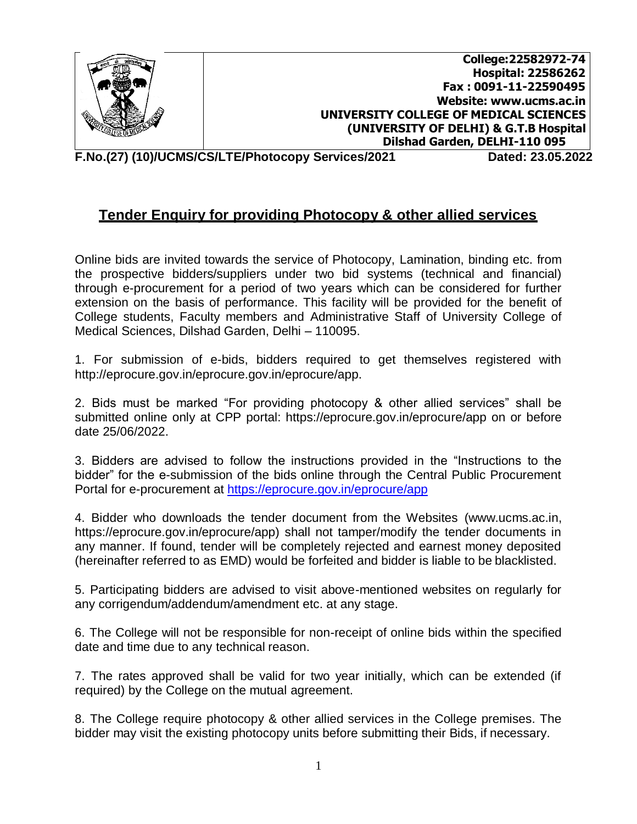

**College:22582972-74 Hospital: 22586262 Fax : 0091-11-22590495 Website: [www.ucms.ac.in](http://www.ucms.ac.in/) UNIVERSITY COLLEGE OF MEDICAL SCIENCES (UNIVERSITY OF DELHI) & G.T.B Hospital Dilshad Garden, DELHI-110 095**

**F.No.(27) (10)/UCMS/CS/LTE/Photocopy Services/2021 Dated: 23.05.2022**

## **Tender Enquiry for providing Photocopy & other allied services**

Online bids are invited towards the service of Photocopy, Lamination, binding etc. from the prospective bidders/suppliers under two bid systems (technical and financial) through e-procurement for a period of two years which can be considered for further extension on the basis of performance. This facility will be provided for the benefit of College students, Faculty members and Administrative Staff of University College of Medical Sciences, Dilshad Garden, Delhi – 110095.

1. For submission of e-bids, bidders required to get themselves registered wit[h](http://eprocure.gov.in/eprocure.gov.in/eprocure/app) [http://eprocure.gov.in/eprocure.gov.in/eprocure/app.](http://eprocure.gov.in/eprocure.gov.in/eprocure/app)

2. Bids must be marked "For providing photocopy & other allied services" shall be submitted online only at CPP portal: https://eprocure.gov.in/eprocure/app on or before date 25/06/2022.

3. Bidders are advised to follow the instructions provided in the "Instructions to the bidder" for the e-submission of the bids online through the Central Public Procurement Portal for e-procurement at <https://eprocure.gov.in/eprocure/app>

4. Bidder who downloads the tender document from the Websites [\(www.ucms.ac.in,](http://www.ucms.ac.in/) https://eprocure.gov.in/eprocure/app) shall not tamper/modify the tender documents in any manner. If found, tender will be completely rejected and earnest money deposited (hereinafter referred to as EMD) would be forfeited and bidder is liable to be blacklisted.

5. Participating bidders are advised to visit above-mentioned websites on regularly for any corrigendum/addendum/amendment etc. at any stage.

6. The College will not be responsible for non-receipt of online bids within the specified date and time due to any technical reason.

7. The rates approved shall be valid for two year initially, which can be extended (if required) by the College on the mutual agreement.

8. The College require photocopy & other allied services in the College premises. The bidder may visit the existing photocopy units before submitting their Bids, if necessary.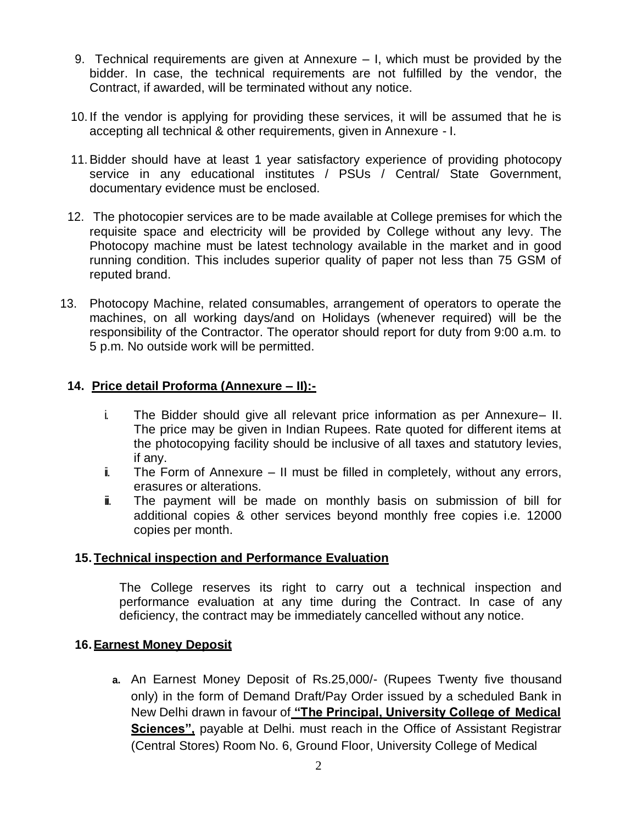- 9. Technical requirements are given at Annexure I, which must be provided by the bidder. In case, the technical requirements are not fulfilled by the vendor, the Contract, if awarded, will be terminated without any notice.
- 10. If the vendor is applying for providing these services, it will be assumed that he is accepting all technical & other requirements, given in Annexure - I.
- 11.Bidder should have at least 1 year satisfactory experience of providing photocopy service in any educational institutes / PSUs / Central/ State Government, documentary evidence must be enclosed.
- 12. The photocopier services are to be made available at College premises for which the requisite space and electricity will be provided by College without any levy. The Photocopy machine must be latest technology available in the market and in good running condition. This includes superior quality of paper not less than 75 GSM of reputed brand.
- 13. Photocopy Machine, related consumables, arrangement of operators to operate the machines, on all working days/and on Holidays (whenever required) will be the responsibility of the Contractor. The operator should report for duty from 9:00 a.m. to 5 p.m. No outside work will be permitted.

### **14. Price detail Proforma (Annexure – II):-**

- i. The Bidder should give all relevant price information as per Annexure– II. The price may be given in Indian Rupees. Rate quoted for different items at the photocopying facility should be inclusive of all taxes and statutory levies, if any.
- $\ddot{\mathbf{i}}$ . The Form of Annexure II must be filled in completely, without any errors, erasures or alterations.
- $\ddot{=}$  The payment will be made on monthly basis on submission of bill for additional copies & other services beyond monthly free copies i.e. 12000 copies per month.

### **15.Technical inspection and Performance Evaluation**

The College reserves its right to carry out a technical inspection and performance evaluation at any time during the Contract. In case of any deficiency, the contract may be immediately cancelled without any notice.

### **16.Earnest Money Deposit**

**a.** An Earnest Money Deposit of Rs.25,000/- (Rupees Twenty five thousand only) in the form of Demand Draft/Pay Order issued by a scheduled Bank in New Delhi drawn in favour of **"The Principal, University College of Medical Sciences"**, payable at Delhi. must reach in the Office of Assistant Registrar (Central Stores) Room No. 6, Ground Floor, University College of Medical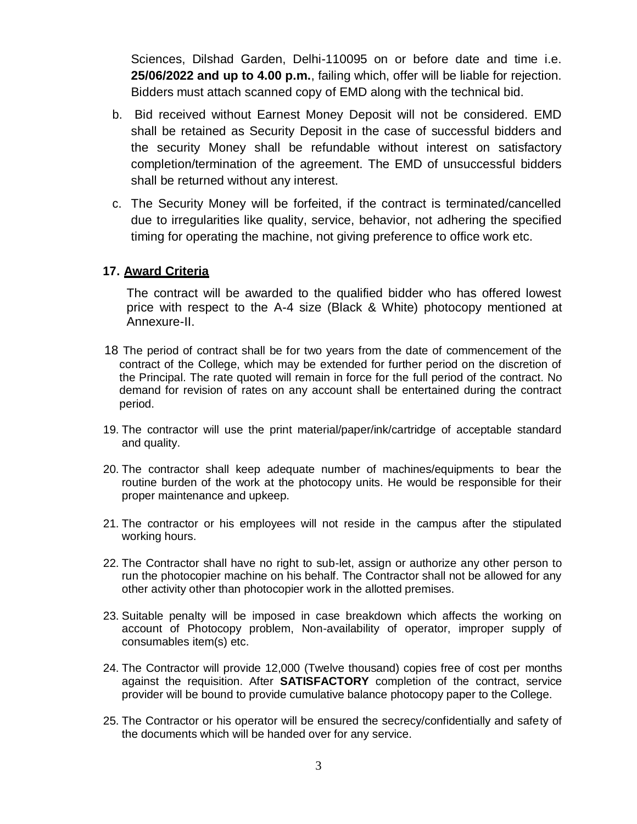Sciences, Dilshad Garden, Delhi-110095 on or before date and time i.e. **25/06/2022 and up to 4.00 p.m.**, failing which, offer will be liable for rejection. Bidders must attach scanned copy of EMD along with the technical bid.

- b. Bid received without Earnest Money Deposit will not be considered. EMD shall be retained as Security Deposit in the case of successful bidders and the security Money shall be refundable without interest on satisfactory completion/termination of the agreement. The EMD of unsuccessful bidders shall be returned without any interest.
- c. The Security Money will be forfeited, if the contract is terminated/cancelled due to irregularities like quality, service, behavior, not adhering the specified timing for operating the machine, not giving preference to office work etc.

### **17. Award Criteria**

The contract will be awarded to the qualified bidder who has offered lowest price with respect to the A-4 size (Black & White) photocopy mentioned at Annexure-II.

- 18 The period of contract shall be for two years from the date of commencement of the contract of the College, which may be extended for further period on the discretion of the Principal. The rate quoted will remain in force for the full period of the contract. No demand for revision of rates on any account shall be entertained during the contract period.
- 19. The contractor will use the print material/paper/ink/cartridge of acceptable standard and quality.
- 20. The contractor shall keep adequate number of machines/equipments to bear the routine burden of the work at the photocopy units. He would be responsible for their proper maintenance and upkeep.
- 21. The contractor or his employees will not reside in the campus after the stipulated working hours.
- 22. The Contractor shall have no right to sub-let, assign or authorize any other person to run the photocopier machine on his behalf. The Contractor shall not be allowed for any other activity other than photocopier work in the allotted premises.
- 23. Suitable penalty will be imposed in case breakdown which affects the working on account of Photocopy problem, Non-availability of operator, improper supply of consumables item(s) etc.
- 24. The Contractor will provide 12,000 (Twelve thousand) copies free of cost per months against the requisition. After **SATISFACTORY** completion of the contract, service provider will be bound to provide cumulative balance photocopy paper to the College.
- 25. The Contractor or his operator will be ensured the secrecy/confidentially and safety of the documents which will be handed over for any service.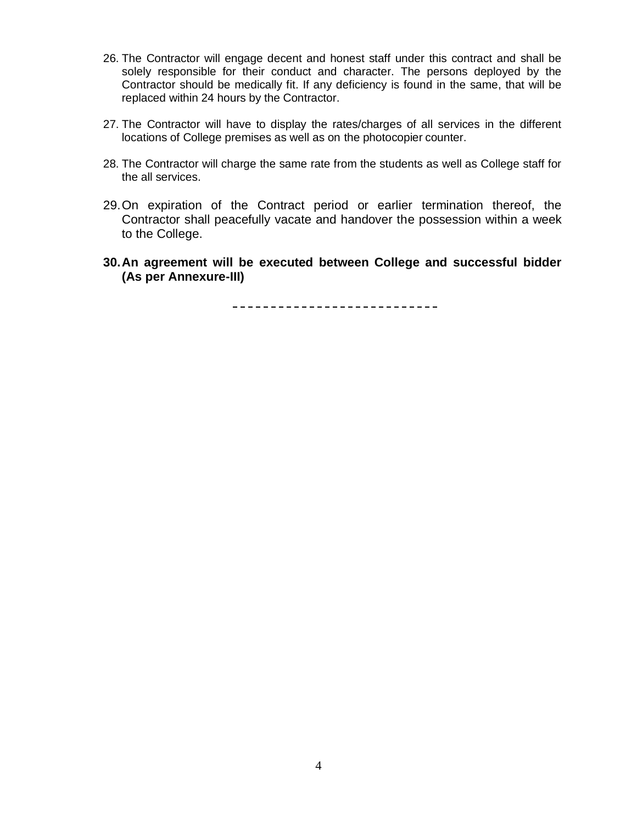- 26. The Contractor will engage decent and honest staff under this contract and shall be solely responsible for their conduct and character. The persons deployed by the Contractor should be medically fit. If any deficiency is found in the same, that will be replaced within 24 hours by the Contractor.
- 27. The Contractor will have to display the rates/charges of all services in the different locations of College premises as well as on the photocopier counter.
- 28. The Contractor will charge the same rate from the students as well as College staff for the all services.
- 29.On expiration of the Contract period or earlier termination thereof, the Contractor shall peacefully vacate and handover the possession within a week to the College.
- **30.An agreement will be executed between College and successful bidder (As per Annexure-III)**

----------------------------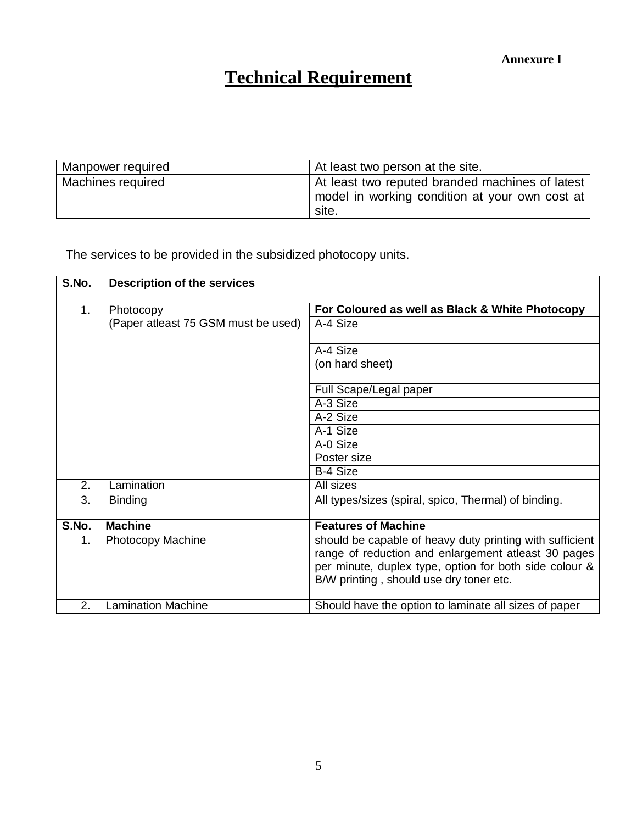# **Technical Requirement**

| Manpower required | At least two person at the site.                                                                           |
|-------------------|------------------------------------------------------------------------------------------------------------|
| Machines required | At least two reputed branded machines of latest<br>model in working condition at your own cost at<br>site. |

The services to be provided in the subsidized photocopy units.

| S.No. | <b>Description of the services</b>  |                                                                                                                                                                                                                      |
|-------|-------------------------------------|----------------------------------------------------------------------------------------------------------------------------------------------------------------------------------------------------------------------|
| 1.    | Photocopy                           | For Coloured as well as Black & White Photocopy                                                                                                                                                                      |
|       | (Paper atleast 75 GSM must be used) | A-4 Size                                                                                                                                                                                                             |
|       |                                     | A-4 Size                                                                                                                                                                                                             |
|       |                                     | (on hard sheet)                                                                                                                                                                                                      |
|       |                                     | Full Scape/Legal paper                                                                                                                                                                                               |
|       |                                     | A-3 Size                                                                                                                                                                                                             |
|       |                                     | A-2 Size                                                                                                                                                                                                             |
|       |                                     | A-1 Size                                                                                                                                                                                                             |
|       |                                     | A-0 Size                                                                                                                                                                                                             |
|       |                                     | Poster size                                                                                                                                                                                                          |
|       |                                     | <b>B-4 Size</b>                                                                                                                                                                                                      |
| 2.    | Lamination                          | All sizes                                                                                                                                                                                                            |
| 3.    | <b>Binding</b>                      | All types/sizes (spiral, spico, Thermal) of binding.                                                                                                                                                                 |
| S.No. | <b>Machine</b>                      | <b>Features of Machine</b>                                                                                                                                                                                           |
| 1.    | <b>Photocopy Machine</b>            | should be capable of heavy duty printing with sufficient<br>range of reduction and enlargement atleast 30 pages<br>per minute, duplex type, option for both side colour &<br>B/W printing, should use dry toner etc. |
| 2.    | <b>Lamination Machine</b>           | Should have the option to laminate all sizes of paper                                                                                                                                                                |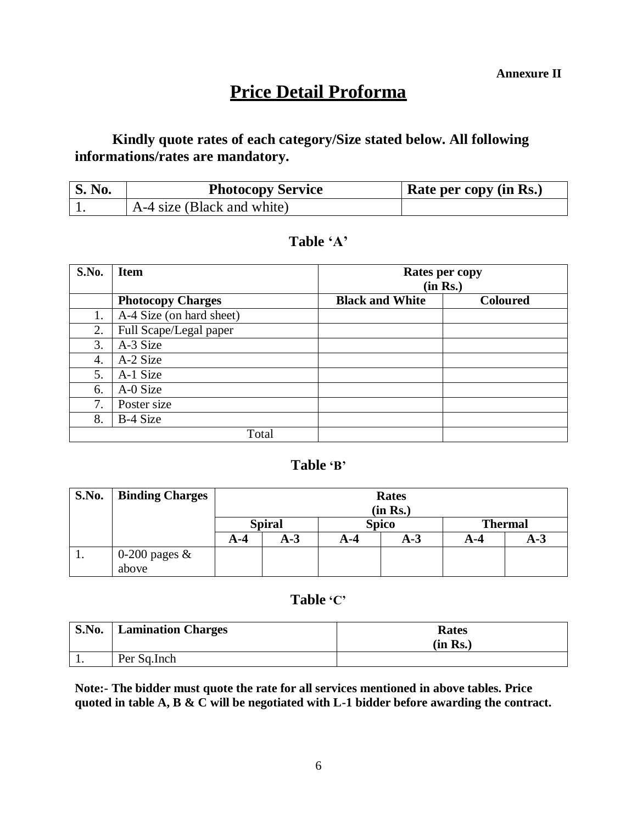# **Price Detail Proforma**

## **Kindly quote rates of each category/Size stated below. All following informations/rates are mandatory.**

| <b>S. No.</b> | <b>Photocopy Service</b>   | Rate per copy (in Rs.) |
|---------------|----------------------------|------------------------|
|               | A-4 size (Black and white) |                        |

### **Table 'A'**

| S.No. | <b>Item</b>              | <b>Rates per copy</b><br>(in Rs.) |                 |  |
|-------|--------------------------|-----------------------------------|-----------------|--|
|       | <b>Photocopy Charges</b> | <b>Black and White</b>            | <b>Coloured</b> |  |
| 1.    | A-4 Size (on hard sheet) |                                   |                 |  |
| 2.    | Full Scape/Legal paper   |                                   |                 |  |
| 3.    | A-3 Size                 |                                   |                 |  |
| 4.    | A-2 Size                 |                                   |                 |  |
| 5.    | A-1 Size                 |                                   |                 |  |
| 6.    | A-0 Size                 |                                   |                 |  |
| 7.    | Poster size              |                                   |                 |  |
| 8.    | B-4 Size                 |                                   |                 |  |
|       | Total                    |                                   |                 |  |

### **Table 'B'**

| S.No. | <b>Binding Charges</b> | <b>Rates</b><br>(in Rs.) |       |              |       |                |       |
|-------|------------------------|--------------------------|-------|--------------|-------|----------------|-------|
|       |                        | <b>Spiral</b>            |       | <b>Spico</b> |       | <b>Thermal</b> |       |
|       |                        | A-4                      | $A-3$ | A-4          | $A-3$ | A-4            | $A-3$ |
| 1.    | 0-200 pages $\&$       |                          |       |              |       |                |       |
|       | above                  |                          |       |              |       |                |       |

### **Table 'C'**

| <b>S.No.</b> | <b>Lamination Charges</b> | <b>Rates</b><br>(in Rs.) |
|--------------|---------------------------|--------------------------|
| . .          | Per Sq.Inch               |                          |

**Note:- The bidder must quote the rate for all services mentioned in above tables. Price quoted in table A, B & C will be negotiated with L-1 bidder before awarding the contract.**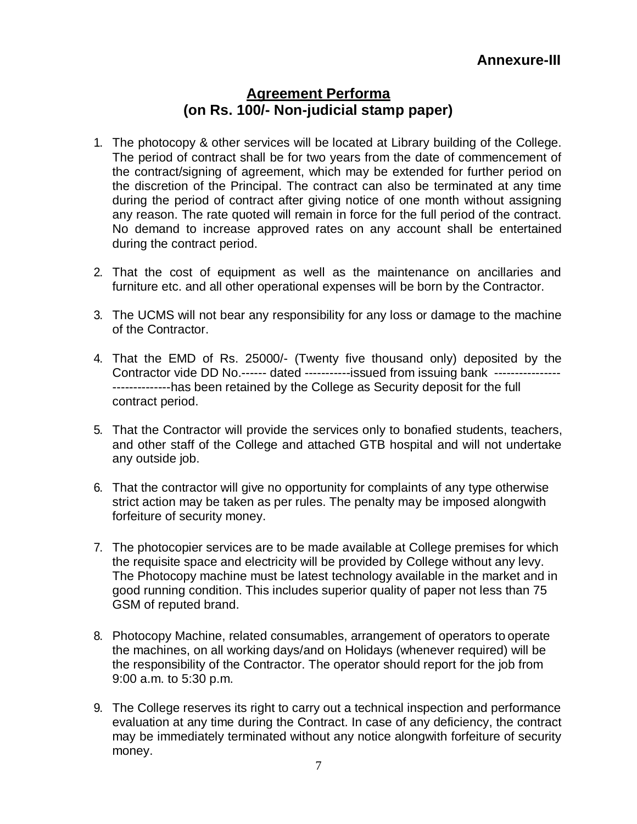# **Agreement Performa (on Rs. 100/- Non-judicial stamp paper)**

- 1. The photocopy & other services will be located at Library building of the College. The period of contract shall be for two years from the date of commencement of the contract/signing of agreement, which may be extended for further period on the discretion of the Principal. The contract can also be terminated at any time during the period of contract after giving notice of one month without assigning any reason. The rate quoted will remain in force for the full period of the contract. No demand to increase approved rates on any account shall be entertained during the contract period.
- 2. That the cost of equipment as well as the maintenance on ancillaries and furniture etc. and all other operational expenses will be born by the Contractor.
- 3. The UCMS will not bear any responsibility for any loss or damage to the machine of the Contractor.
- 4. That the EMD of Rs. 25000/- (Twenty five thousand only) deposited by the Contractor vide DD No.------ dated -----------issued from issuing bank ------------------------------has been retained by the College as Security deposit for the full contract period.
- 5. That the Contractor will provide the services only to bonafied students, teachers, and other staff of the College and attached GTB hospital and will not undertake any outside job.
- 6. That the contractor will give no opportunity for complaints of any type otherwise strict action may be taken as per rules. The penalty may be imposed alongwith forfeiture of security money.
- 7. The photocopier services are to be made available at College premises for which the requisite space and electricity will be provided by College without any levy. The Photocopy machine must be latest technology available in the market and in good running condition. This includes superior quality of paper not less than 75 GSM of reputed brand.
- 8. Photocopy Machine, related consumables, arrangement of operators to operate the machines, on all working days/and on Holidays (whenever required) will be the responsibility of the Contractor. The operator should report for the job from 9:00 a.m. to 5:30 p.m.
- 9. The College reserves its right to carry out a technical inspection and performance evaluation at any time during the Contract. In case of any deficiency, the contract may be immediately terminated without any notice alongwith forfeiture of security money.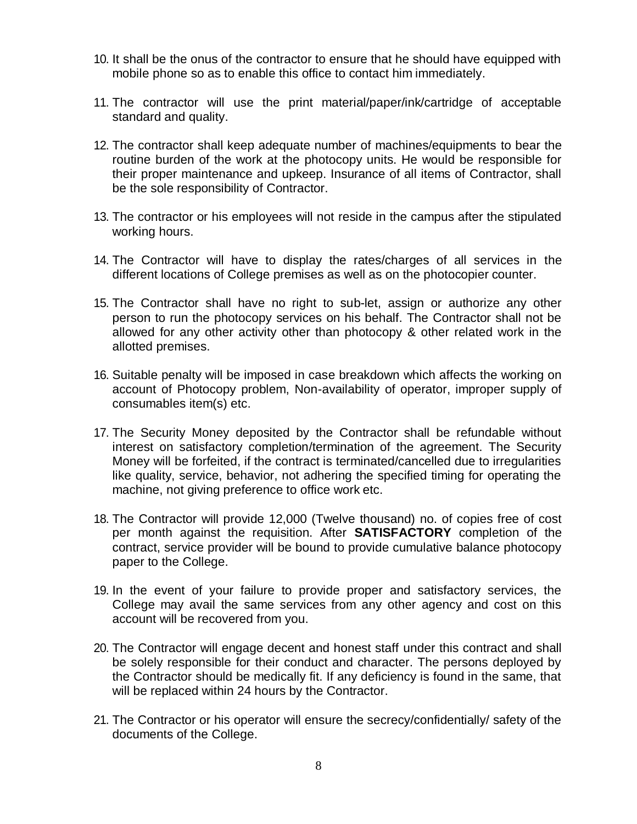- 10. It shall be the onus of the contractor to ensure that he should have equipped with mobile phone so as to enable this office to contact him immediately.
- 11. The contractor will use the print material/paper/ink/cartridge of acceptable standard and quality.
- 12. The contractor shall keep adequate number of machines/equipments to bear the routine burden of the work at the photocopy units. He would be responsible for their proper maintenance and upkeep. Insurance of all items of Contractor, shall be the sole responsibility of Contractor.
- 13. The contractor or his employees will not reside in the campus after the stipulated working hours.
- 14. The Contractor will have to display the rates/charges of all services in the different locations of College premises as well as on the photocopier counter.
- 15. The Contractor shall have no right to sub-let, assign or authorize any other person to run the photocopy services on his behalf. The Contractor shall not be allowed for any other activity other than photocopy & other related work in the allotted premises.
- 16. Suitable penalty will be imposed in case breakdown which affects the working on account of Photocopy problem, Non-availability of operator, improper supply of consumables item(s) etc.
- 17. The Security Money deposited by the Contractor shall be refundable without interest on satisfactory completion/termination of the agreement. The Security Money will be forfeited, if the contract is terminated/cancelled due to irregularities like quality, service, behavior, not adhering the specified timing for operating the machine, not giving preference to office work etc.
- 18. The Contractor will provide 12,000 (Twelve thousand) no. of copies free of cost per month against the requisition. After **SATISFACTORY** completion of the contract, service provider will be bound to provide cumulative balance photocopy paper to the College.
- 19. In the event of your failure to provide proper and satisfactory services, the College may avail the same services from any other agency and cost on this account will be recovered from you.
- 20. The Contractor will engage decent and honest staff under this contract and shall be solely responsible for their conduct and character. The persons deployed by the Contractor should be medically fit. If any deficiency is found in the same, that will be replaced within 24 hours by the Contractor.
- 21. The Contractor or his operator will ensure the secrecy/confidentially/ safety of the documents of the College.